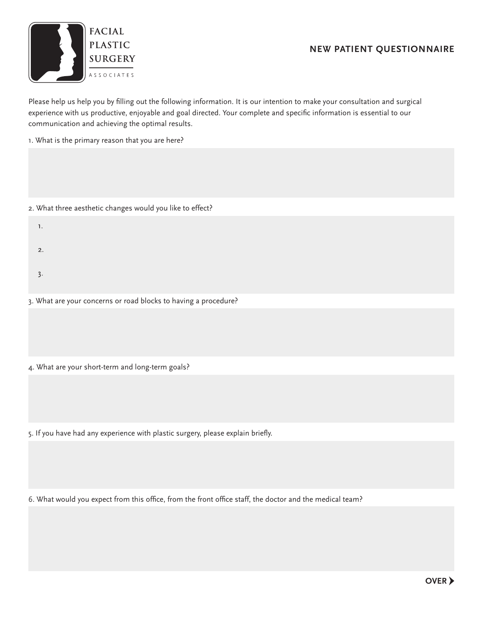## **New Patient Questionnaire**



Please help us help you by filling out the following information. It is our intention to make your consultation and surgical experience with us productive, enjoyable and goal directed. Your complete and specific information is essential to our communication and achieving the optimal results.

1. What is the primary reason that you are here?

- 2. What three aesthetic changes would you like to effect?
	- $\mathbf{1}$ .  $\overline{2}$ .
	- $3.$

3. What are your concerns or road blocks to having a procedure?

4. What are your short-term and long-term goals?

5. If you have had any experience with plastic surgery, please explain briefly.

6. What would you expect from this office, from the front office staff, the doctor and the medical team?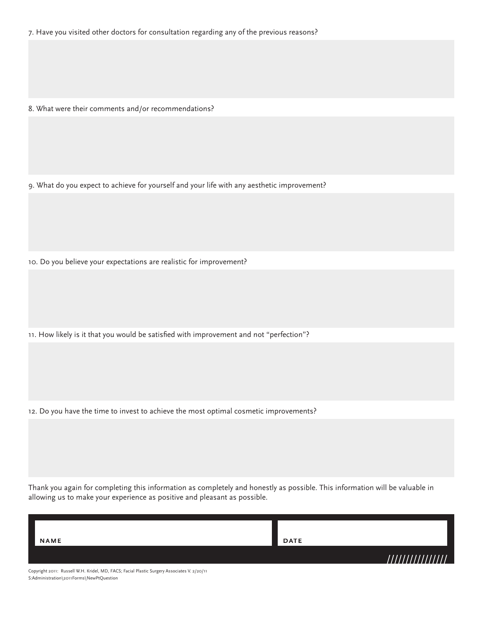7. Have you visited other doctors for consultation regarding any of the previous reasons?

8. What were their comments and/or recommendations?

9. What do you expect to achieve for yourself and your life with any aesthetic improvement?

10. Do you believe your expectations are realistic for improvement?

11. How likely is it that you would be satisfied with improvement and not "perfection"?

12. Do you have the time to invest to achieve the most optimal cosmetic improvements?

Thank you again for completing this information as completely and honestly as possible. This information will be valuable in allowing us to make your experience as positive and pleasant as possible.

| NAME | <b>DATE</b> |
|------|-------------|
|      |             |

Copyright 2011: Russell W.H. Kridel, MD, FACS; Facial Plastic Surgery Associates V. 2/20/11 S:Administration\2011Forms\NewPtQuestion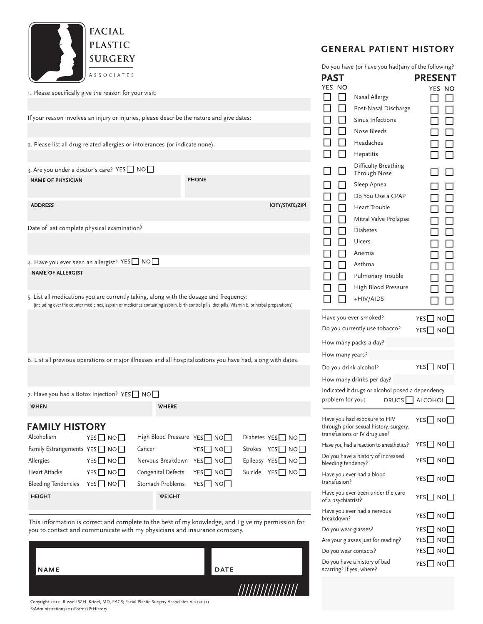

1. Please specifically give the reason for your visit:

| If your reason involves an injury or injuries, please describe the nature and give dates:                                                                                                                                                     |                 |        |                    |                                                  |                                       | $\Box$         |
|-----------------------------------------------------------------------------------------------------------------------------------------------------------------------------------------------------------------------------------------------|-----------------|--------|--------------------|--------------------------------------------------|---------------------------------------|----------------|
|                                                                                                                                                                                                                                               |                 |        |                    |                                                  |                                       |                |
| 2. Please list all drug-related allergies or intolerances (or indicate none).                                                                                                                                                                 |                 |        |                    |                                                  |                                       | 0000           |
|                                                                                                                                                                                                                                               |                 |        |                    |                                                  |                                       |                |
| 3. Are you under a doctor's care? YES NO<br><b>NAME OF PHYSICIAN</b>                                                                                                                                                                          |                 |        |                    | <b>PHONE</b>                                     |                                       | $\Box$         |
| <b>ADDRESS</b>                                                                                                                                                                                                                                |                 |        |                    |                                                  | [CITY/STATE/ZIP]                      | 00000000000    |
| Date of last complete physical examination?                                                                                                                                                                                                   |                 |        |                    |                                                  |                                       |                |
|                                                                                                                                                                                                                                               |                 |        |                    |                                                  |                                       |                |
| 4. Have you ever seen an allergist? YES NO                                                                                                                                                                                                    |                 |        |                    |                                                  |                                       |                |
| <b>NAME OF ALLERGIST</b>                                                                                                                                                                                                                      |                 |        |                    |                                                  |                                       |                |
| 5. List all medications you are currently taking, along with the dosage and frequency:<br>(including over the counter medicines, aspirin or medicines containing aspirin, birth control pills, diet pills, Vitamin E, or herbal preparations) |                 |        |                    |                                                  |                                       | $\Box$         |
|                                                                                                                                                                                                                                               |                 |        |                    |                                                  |                                       | Have           |
|                                                                                                                                                                                                                                               |                 |        |                    |                                                  |                                       | Do y           |
|                                                                                                                                                                                                                                               |                 |        |                    |                                                  |                                       | How            |
| 6. List all previous operations or major illnesses and all hospitalizations you have had, along with dates.                                                                                                                                   |                 |        |                    |                                                  |                                       | How            |
|                                                                                                                                                                                                                                               |                 |        |                    |                                                  |                                       | Do y<br>How    |
| 7. Have you had a Botox Injection? YES NO                                                                                                                                                                                                     |                 |        |                    |                                                  |                                       | Indic          |
| <b>WHEN</b>                                                                                                                                                                                                                                   |                 |        | WHERE              |                                                  |                                       | prob           |
|                                                                                                                                                                                                                                               |                 |        |                    |                                                  |                                       | Have           |
| <b>FAMILY HISTORY</b>                                                                                                                                                                                                                         |                 |        |                    |                                                  |                                       | throu<br>trans |
| Alcoholism                                                                                                                                                                                                                                    | $YES$ NO $\Box$ |        |                    | High Blood Pressure YES <sup>NO</sup>            | Diabetes $YES$ NO $\Box$              | Have           |
| Family Estrangements $YES$ NO $\Box$                                                                                                                                                                                                          | $YES$ NO $\Box$ | Cancer |                    | YES $\Box$ NO $\Box$<br>Nervous Breakdown YES NO | Strokes YES□ NO□<br>Epilepsy YES□ NO□ | Do yo          |
| Allergies<br><b>Heart Attacks</b>                                                                                                                                                                                                             | $YES$ NO $\Box$ |        | Congenital Defects | YES $\Box$ NO $\Box$                             | Suicide YES□ NO□                      | bleec          |
| Bleeding Tendencies $YES \Box NO \Box$                                                                                                                                                                                                        |                 |        | Stomach Problems   | YES $\Box$ NO $\Box$                             |                                       | Have<br>trans  |
| <b>HEIGHT</b>                                                                                                                                                                                                                                 |                 |        | <b>WEIGHT</b>      |                                                  |                                       | Have<br>of a p |
|                                                                                                                                                                                                                                               |                 |        |                    |                                                  |                                       |                |

This information is correct and complete to the best of my knowledge, and I give my permission for you to contact and communicate with my physicians and insurance company.

| <b>NAME</b>                                                                                 | <b>DATE</b>      |
|---------------------------------------------------------------------------------------------|------------------|
|                                                                                             | //////////////// |
| Copyright 2011: Russell W.H. Kridel, MD, FACS; Facial Plastic Surgery Associates V. 2/20/11 |                  |

## **general patient history**

Do you have (or have you had)any of the following?

**PRESENT** 

**PAST** 

| YES<br>NΟ<br>ΙI<br>⊓<br>$\Box$<br>□<br>$\Box$<br>$\Box$<br>ΙI<br>□<br>$\Box$<br>□<br>$\Box$<br>П<br>$\Box$<br>$\Box$<br>$\Box$<br>$\mathsf{L}$<br>$\Box$<br>$\Box$<br>ΙI<br>П<br>П | Nasal Allergy<br>Post-Nasal Discharge<br>Sinus Infections<br>Nose Bleeds<br>Headaches<br>Hepatitis<br>Difficulty Breathing<br>Through Nose<br>Sleep Apnea<br>Do You Use a CPAP<br>Heart Trouble<br>Mitral Valve Prolapse<br>Diabetes<br>Ulcers<br>Anemia<br>Asthma<br>Pulmonary Trouble<br>High Blood Pressure<br>+HIV/AIDS<br>Have you ever smoked?<br>Do you currently use tobacco?<br>How many packs a day? | YES<br>NΟ<br>ΙI<br>$\Box$<br>$\Box$<br>$\Box$<br>$\Box$<br>$\Box$<br>$\Box$<br>$\Box$<br>$\Box$<br>П<br>$\Box$<br>$\Box$<br>П<br>$\Box$<br>$\Box$<br>$\Box$<br>$\Box$<br>$\Box$<br>$YES$ NO $\Box$<br>$YES$ $\Box$ $NO$ $\Box$ |
|------------------------------------------------------------------------------------------------------------------------------------------------------------------------------------|----------------------------------------------------------------------------------------------------------------------------------------------------------------------------------------------------------------------------------------------------------------------------------------------------------------------------------------------------------------------------------------------------------------|--------------------------------------------------------------------------------------------------------------------------------------------------------------------------------------------------------------------------------|
| How many years?                                                                                                                                                                    |                                                                                                                                                                                                                                                                                                                                                                                                                |                                                                                                                                                                                                                                |
| Do you drink alcohol?                                                                                                                                                              |                                                                                                                                                                                                                                                                                                                                                                                                                | $YES$ NO $\square$                                                                                                                                                                                                             |
| problem for you:                                                                                                                                                                   | How many drinks per day?<br>Indicated if drugs or alcohol posed a dependency                                                                                                                                                                                                                                                                                                                                   | DRUGS <sup>N</sup> ALCOHOL                                                                                                                                                                                                     |
|                                                                                                                                                                                    | Have you had exposure to HIV<br>through prior sexual history, surgery,<br>transfusions or IV drug use?                                                                                                                                                                                                                                                                                                         | $YES$ $N$ $O$ $\Box$                                                                                                                                                                                                           |
|                                                                                                                                                                                    | Have you had a reaction to anesthetics?                                                                                                                                                                                                                                                                                                                                                                        | $YES$ NO $\Box$                                                                                                                                                                                                                |
| bleeding tendency?                                                                                                                                                                 | Do you have a history of increased                                                                                                                                                                                                                                                                                                                                                                             | $YES$ $\Box$ $NO$ $\Box$                                                                                                                                                                                                       |
| transfusion?                                                                                                                                                                       | Have you ever had a blood                                                                                                                                                                                                                                                                                                                                                                                      | $YES$ $\Box$ $NO$ $\Box$                                                                                                                                                                                                       |
| of a psychiatrist?                                                                                                                                                                 | Have you ever been under the care                                                                                                                                                                                                                                                                                                                                                                              | YES $\Box$ NO $\Box$                                                                                                                                                                                                           |
| breakdown?                                                                                                                                                                         | Have you ever had a nervous                                                                                                                                                                                                                                                                                                                                                                                    | $YES\Box$<br>NO <sub>1</sub>                                                                                                                                                                                                   |
| Do you wear glasses?                                                                                                                                                               |                                                                                                                                                                                                                                                                                                                                                                                                                | $YES$ $\Box$<br>NOI I                                                                                                                                                                                                          |
|                                                                                                                                                                                    | Are your glasses just for reading?                                                                                                                                                                                                                                                                                                                                                                             | $YES$ $N$ $O$ $\Box$                                                                                                                                                                                                           |
| Do you wear contacts?                                                                                                                                                              |                                                                                                                                                                                                                                                                                                                                                                                                                | YES $\Box$<br>NO $\Box$                                                                                                                                                                                                        |
| scarring? If yes, where?                                                                                                                                                           | Do you have a history of bad                                                                                                                                                                                                                                                                                                                                                                                   | YES $\square$ No $\square$                                                                                                                                                                                                     |

S:Administration\2011Forms\PtHistory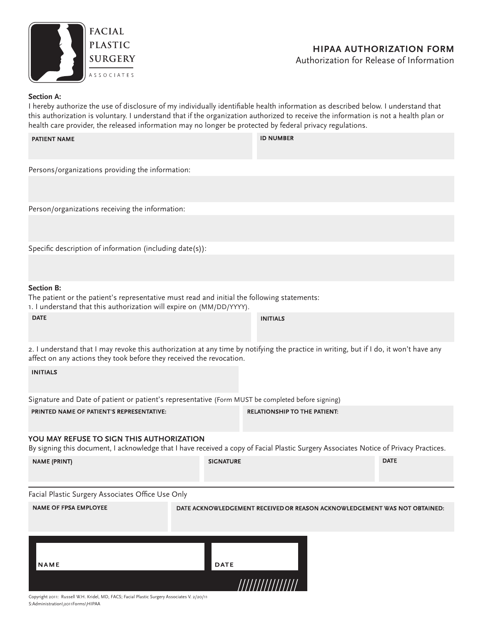

## **Section A:**

I hereby authorize the use of disclosure of my individually identifiable health information as described below. I understand that this authorization is voluntary. I understand that if the organization authorized to receive the information is not a health plan or health care provider, the released information may no longer be protected by federal privacy regulations.

| health care provider, the released information may no longer be protected by federal privacy regulations.                                                                                                     |                  |                                                                           |             |
|---------------------------------------------------------------------------------------------------------------------------------------------------------------------------------------------------------------|------------------|---------------------------------------------------------------------------|-------------|
| <b>PATIENT NAME</b>                                                                                                                                                                                           |                  | <b>ID NUMBER</b>                                                          |             |
| Persons/organizations providing the information:                                                                                                                                                              |                  |                                                                           |             |
|                                                                                                                                                                                                               |                  |                                                                           |             |
| Person/organizations receiving the information:                                                                                                                                                               |                  |                                                                           |             |
|                                                                                                                                                                                                               |                  |                                                                           |             |
| Specific description of information (including date(s)):                                                                                                                                                      |                  |                                                                           |             |
|                                                                                                                                                                                                               |                  |                                                                           |             |
| <b>Section B:</b><br>The patient or the patient's representative must read and initial the following statements:<br>1. I understand that this authorization will expire on (MM/DD/YYYY).                      |                  |                                                                           |             |
| <b>DATE</b>                                                                                                                                                                                                   |                  | <b>INITIALS</b>                                                           |             |
| 2. I understand that I may revoke this authorization at any time by notifying the practice in writing, but if I do, it won't have any<br>affect on any actions they took before they received the revocation. |                  |                                                                           |             |
| <b>INITIALS</b>                                                                                                                                                                                               |                  |                                                                           |             |
| Signature and Date of patient or patient's representative (Form MUST be completed before signing)                                                                                                             |                  |                                                                           |             |
| PRINTED NAME OF PATIENT'S REPRESENTATIVE:                                                                                                                                                                     |                  | <b>RELATIONSHIP TO THE PATIENT:</b>                                       |             |
| YOU MAY REFUSE TO SIGN THIS AUTHORIZATION<br>By signing this document, I acknowledge that I have received a copy of Facial Plastic Surgery Associates Notice of Privacy Practices.                            |                  |                                                                           |             |
| <b>NAME (PRINT)</b>                                                                                                                                                                                           | <b>SIGNATURE</b> |                                                                           | <b>DATE</b> |
| Facial Plastic Surgery Associates Office Use Only                                                                                                                                                             |                  |                                                                           |             |
| <b>NAME OF FPSA EMPLOYEE</b>                                                                                                                                                                                  |                  | DATE ACKNOWLEDGEMENT RECEIVED OR REASON ACKNOWLEDGEMENT WAS NOT OBTAINED: |             |
|                                                                                                                                                                                                               |                  |                                                                           |             |
| NAME                                                                                                                                                                                                          | <b>DATE</b>      |                                                                           |             |
|                                                                                                                                                                                                               |                  | ///////////////                                                           |             |

Copyright 2011: Russell W.H. Kridel, MD, FACS; Facial Plastic Surgery Associates V. 2/20/11 S:Administration\2011Forms\HIPAA